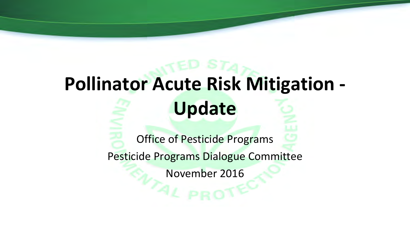# **Pollinator Acute Risk Mitigation - Update**

Office of Pesticide Programs

Pesticide Programs Dialogue Committee

November 2016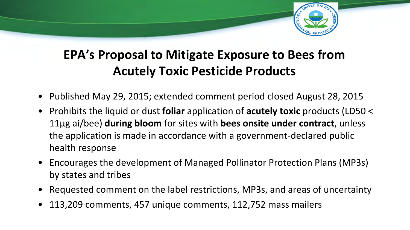

## **EPA's Proposal to Mitigate Exposure to Bees from Acutely Toxic Pesticide Products**

- Published May 29, 2015; extended comment period closed August 28, 2015
- Prohibits the liquid or dust **foliar** application of **acutely toxic** products (LD50 < 11µg ai/bee) **during bloom** for sites with **bees onsite under contract**, unless the application is made in accordance with a government-declared public health response
- Encourages the development of Managed Pollinator Protection Plans (MP3s) by states and tribes
- Requested comment on the label restrictions, MP3s, and areas of uncertainty
- 113,209 comments, 457 unique comments, 112,752 mass mailers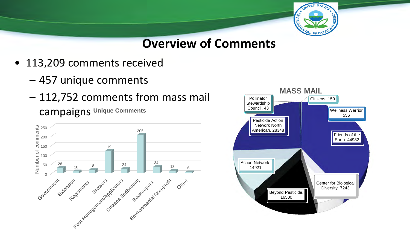

**Overview of Comments**

- 113,209 comments received
	- 457 unique comments
	- 112,752 comments from mass mail campaigns **Unique Comments**



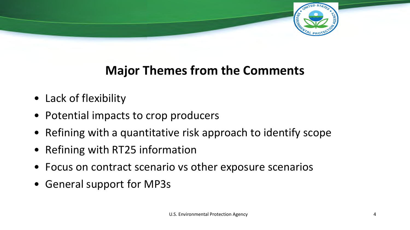

### **Major Themes from the Comments**

- Lack of flexibility
- Potential impacts to crop producers
- Refining with a quantitative risk approach to identify scope
- Refining with RT25 information
- Focus on contract scenario vs other exposure scenarios
- General support for MP3s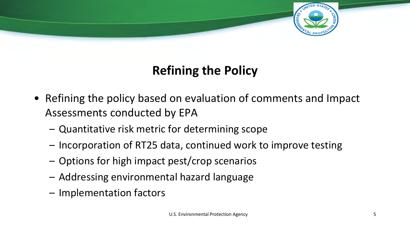

## **Refining the Policy**

- Refining the policy based on evaluation of comments and Impact Assessments conducted by EPA
	- Quantitative risk metric for determining scope
	- Incorporation of RT25 data, continued work to improve testing
	- Options for high impact pest/crop scenarios
	- Addressing environmental hazard language
	- Implementation factors